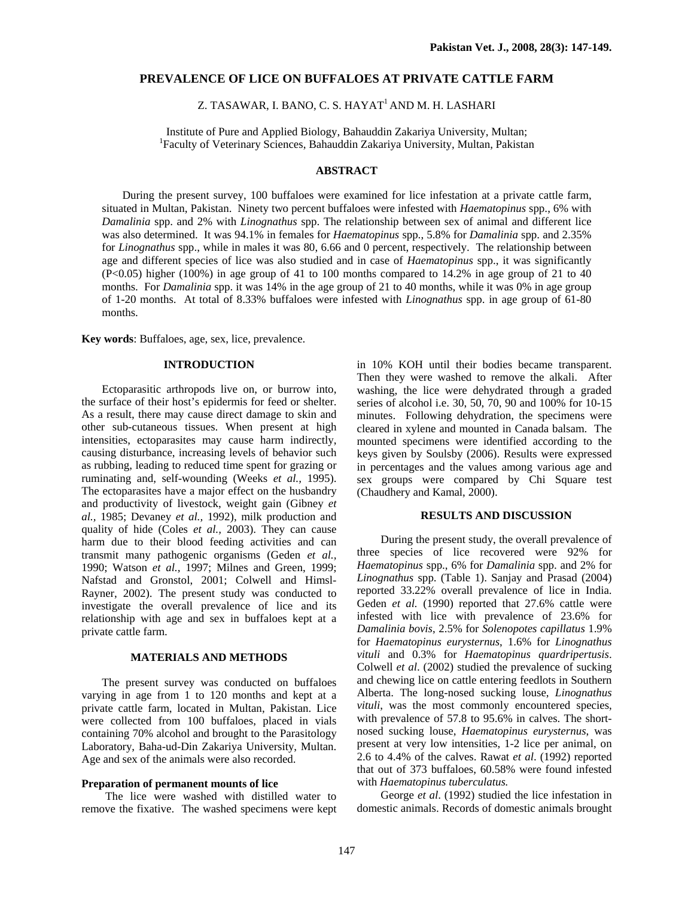## **PREVALENCE OF LICE ON BUFFALOES AT PRIVATE CATTLE FARM**

Z. TASAWAR, I. BANO, C. S. HAYAT<sup>1</sup> AND M. H. LASHARI

Institute of Pure and Applied Biology, Bahauddin Zakariya University, Multan; 1 Faculty of Veterinary Sciences, Bahauddin Zakariya University, Multan, Pakistan

# **ABSTRACT**

During the present survey, 100 buffaloes were examined for lice infestation at a private cattle farm, situated in Multan, Pakistan. Ninety two percent buffaloes were infested with *Haematopinus* spp., 6% with *Damalinia* spp. and 2% with *Linognathus* spp. The relationship between sex of animal and different lice was also determined. It was 94.1% in females for *Haematopinus* spp., 5.8% for *Damalinia* spp. and 2.35% for *Linognathus* spp., while in males it was 80, 6.66 and 0 percent, respectively. The relationship between age and different species of lice was also studied and in case of *Haematopinus* spp., it was significantly  $(P<0.05)$  higher (100%) in age group of 41 to 100 months compared to 14.2% in age group of 21 to 40 months. For *Damalinia* spp. it was 14% in the age group of 21 to 40 months, while it was 0% in age group of 1-20 months. At total of 8.33% buffaloes were infested with *Linognathus* spp. in age group of 61-80 months.

**Key words**: Buffaloes, age, sex, lice, prevalence.

### **INTRODUCTION**

Ectoparasitic arthropods live on, or burrow into, the surface of their host's epidermis for feed or shelter. As a result, there may cause direct damage to skin and other sub-cutaneous tissues. When present at high intensities, ectoparasites may cause harm indirectly, causing disturbance, increasing levels of behavior such as rubbing, leading to reduced time spent for grazing or ruminating and, self-wounding (Weeks *et al.,* 1995). The ectoparasites have a major effect on the husbandry and productivity of livestock, weight gain (Gibney *et al.,* 1985; Devaney *et al.,* 1992), milk production and quality of hide (Coles *et al.,* 2003). They can cause harm due to their blood feeding activities and can transmit many pathogenic organisms (Geden *et al.,* 1990; Watson *et al.,* 1997; Milnes and Green, 1999; Nafstad and Gronstol, 2001; Colwell and Himsl-Rayner, 2002). The present study was conducted to investigate the overall prevalence of lice and its relationship with age and sex in buffaloes kept at a private cattle farm.

# **MATERIALS AND METHODS**

The present survey was conducted on buffaloes varying in age from 1 to 120 months and kept at a private cattle farm, located in Multan, Pakistan. Lice were collected from 100 buffaloes, placed in vials containing 70% alcohol and brought to the Parasitology Laboratory, Baha-ud-Din Zakariya University, Multan. Age and sex of the animals were also recorded.

### **Preparation of permanent mounts of lice**

The lice were washed with distilled water to remove the fixative. The washed specimens were kept in 10% KOH until their bodies became transparent. Then they were washed to remove the alkali. After washing, the lice were dehydrated through a graded series of alcohol i.e. 30, 50, 70, 90 and 100% for 10-15 minutes. Following dehydration, the specimens were cleared in xylene and mounted in Canada balsam. The mounted specimens were identified according to the keys given by Soulsby (2006). Results were expressed in percentages and the values among various age and sex groups were compared by Chi Square test (Chaudhery and Kamal, 2000).

### **RESULTS AND DISCUSSION**

During the present study, the overall prevalence of three species of lice recovered were 92% for *Haematopinus* spp., 6% for *Damalinia* spp. and 2% for *Linognathus* spp. (Table 1). Sanjay and Prasad (2004) reported 33.22% overall prevalence of lice in India. Geden et al. (1990) reported that 27.6% cattle were infested with lice with prevalence of 23.6% for *Damalinia bovis*, 2.5% for *Solenopotes capillatus* 1.9% for *Haematopinus eurysternus*, 1.6% for *Linognathus vituli* and 0.3% for *Haematopinus quardripertusis*. Colwell *et al*. (2002) studied the prevalence of sucking and chewing lice on cattle entering feedlots in Southern Alberta. The long-nosed sucking louse, *Linognathus vituli*, was the most commonly encountered species, with prevalence of 57.8 to 95.6% in calves. The shortnosed sucking louse, *Haematopinus eurysternus*, was present at very low intensities, 1-2 lice per animal, on 2.6 to 4.4% of the calves. Rawat *et al*. (1992) reported that out of 373 buffaloes, 60.58% were found infested with *Haematopinus tuberculatus.*

George *et al*. (1992) studied the lice infestation in domestic animals. Records of domestic animals brought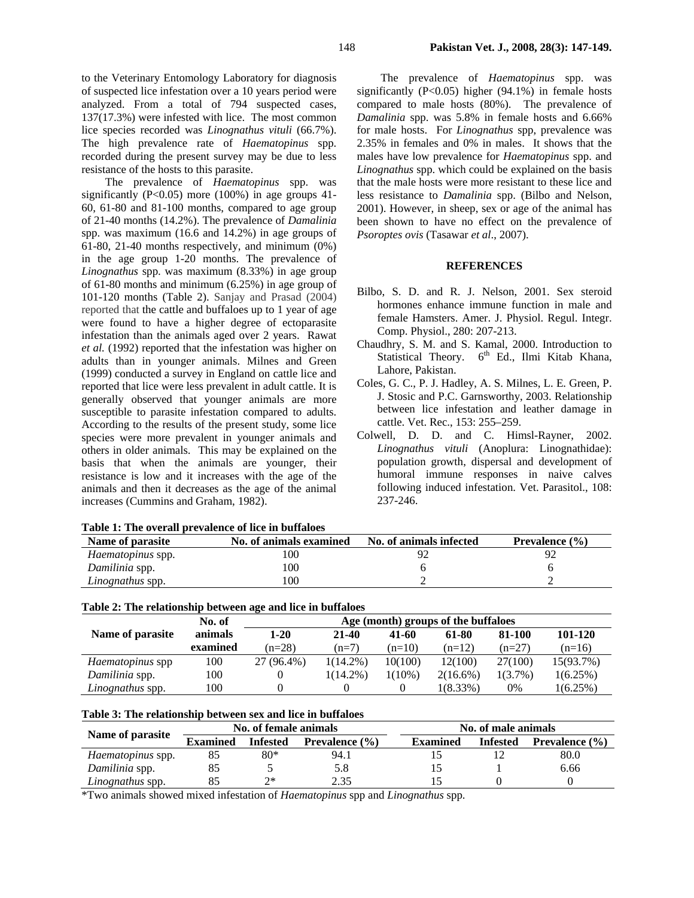to the Veterinary Entomology Laboratory for diagnosis of suspected lice infestation over a 10 years period were analyzed. From a total of 794 suspected cases, 137(17.3%) were infested with lice. The most common lice species recorded was *Linognathus vituli* (66.7%). The high prevalence rate of *Haematopinus* spp. recorded during the present survey may be due to less resistance of the hosts to this parasite.

The prevalence of *Haematopinus* spp. was significantly ( $P<0.05$ ) more (100%) in age groups 41-60, 61-80 and 81-100 months, compared to age group of 21-40 months (14.2%). The prevalence of *Damalinia* spp. was maximum (16.6 and 14.2%) in age groups of 61-80, 21-40 months respectively, and minimum (0%) in the age group 1-20 months. The prevalence of *Linognathus* spp. was maximum (8.33%) in age group of 61-80 months and minimum (6.25%) in age group of  $101-120$  months (Table 2). reported that the cattle and bu were found to have a high infestation than the animals. *et al.* (1992) reported that the adults than in younger ani  $(1999)$  conducted a survey in reported that lice were less pr generally observed that yo susceptible to parasite infestation compared to adults. According to the results of the present study, some lice species were more prevalent in younger animals and others in older animals. This may be explained on the basis that when the animals are younger, their resistance is low and it increases with the age of the animals and then it decreases as the age of the animal increases (Cummins and Graham, 1982).

| Table 1: The overall prevalence of lice in buildloes |                         |                         |                           |  |
|------------------------------------------------------|-------------------------|-------------------------|---------------------------|--|
| Name of parasite                                     | No. of animals examined | No. of animals infected | <b>Prevalence</b> $(\% )$ |  |
| Haematopinus spp.                                    | 100                     | 92                      | 92                        |  |
| Damilinia spp.                                       | 100                     |                         |                           |  |
| Linognathus spp.                                     | 100                     |                         |                           |  |

**Name of parasite 1-20 21-40 41-60 61-80 81-100 101-120** 

*Haematopinus* spp 100 27 (96.4%)  $1(14.2\%)$   $10(100)$   $12(100)$   $27(100)$   $15(93.7\%)$ <br> *Damilinia* spp. 100 0  $1(14.2\%)$   $1(10\%)$   $2(16.6\%)$   $1(3.7\%)$   $1(6.25\%)$ *Damilinia* spp. 100 0 1(14.2%) 1(10%) 2(16.6%) 1(3.7%) 1(6.25%) *Linognathus* spp. 100 0 0 0 1(8.33%) 0% 1(6.25%)

| Table 1: The overall prevalence of lice in buffaloes |  |  |  |
|------------------------------------------------------|--|--|--|
|------------------------------------------------------|--|--|--|

| $\mu$ (0.23 %) in age group of  | Bilbo, S. D. and R. J. Nelson, 2001. Sex steroid           |
|---------------------------------|------------------------------------------------------------|
| Sanjay and Prasad (2004)        |                                                            |
| uffaloes up to 1 year of age    | hormones enhance immune function in male and               |
| ner degree of ectoparasite      | female Hamsters. Amer. J. Physiol. Regul. Integr.          |
|                                 | Comp. Physiol., 280: 207-213.                              |
| aged over 2 years. Rawat        |                                                            |
| e infestation was higher on     | Chaudhry, S. M. and S. Kamal, 2000. Introduction to        |
| imals. Milnes and Green         | Statistical Theory. 6 <sup>th</sup> Ed., Ilmi Kitab Khana, |
| n England on cattle lice and    | Lahore, Pakistan.                                          |
| revalent in adult cattle. It is | Coles, G. C., P. J. Hadley, A. S. Milnes, L. E. Green, P.  |
| punger animals are more         | J. Stosic and P.C. Garnsworthy, 2003. Relationship         |
|                                 |                                                            |

- Green, P. delationship between lice infestation and leather damage in cattle. Vet. Rec., 153: 255–259.
- Colwell, D. D. and C. Himsl-Rayner, 2002. *Linognathus vituli* (Anoplura: Linognathidae): population growth, dispersal and development of humoral immune responses in naive calves following induced infestation. Vet. Parasitol., 108: 237-246.

**Age (month) groups of the buffaloes** 

**examined**  $(n=28)$   $(n=7)$   $(n=10)$   $(n=12)$   $(n=27)$   $(n=16)$ 

| Table 3: The relationship between sex and lice in buffaloes |
|-------------------------------------------------------------|

**Table 2: The relationship between age and lice in buffaloes** 

**No. of animals** 

| Name of parasite         | No. of female animals |                 | No. of male animals       |                 |                 |                           |
|--------------------------|-----------------------|-----------------|---------------------------|-----------------|-----------------|---------------------------|
|                          | <b>Examined</b>       | <b>Infested</b> | <b>Prevalence</b> $(\% )$ | <b>Examined</b> | <b>Infested</b> | <b>Prevalence</b> $(\% )$ |
| <i>Haematopinus</i> spp. | 85                    | $80*$           | 94.1                      |                 |                 | 80.0                      |
| Damilinia spp.           | 85                    |                 | 5.8                       |                 |                 | 6.66                      |
| Linognathus spp.         | 85                    | つ*              | 2.35                      |                 |                 |                           |

\*Two animals showed mixed infestation of *Haematopinus* spp and *Linognathus* spp.

#### 148 **Pakistan Vet. J., 2008, 28(3): 147-149.**

The prevalence of *Haematopinus* spp. was significantly  $(P<0.05)$  higher  $(94.1\%)$  in female hosts compared to male hosts (80%). The prevalence of *Damalinia* spp. was 5.8% in female hosts and 6.66% for male hosts. For *Linognathus* spp, prevalence was 2.35% in females and 0% in males. It shows that the males have low prevalence for *Haematopinus* spp. and *Linognathus* spp. which could be explained on the basis that the male hosts were more resistant to these lice and less resistance to *Damalinia* spp. (Bilbo and Nelson, 2001). However, in sheep, sex or age of the animal has been shown to have no effect on the prevalence of *Psoroptes ovis* (Tasawar *et al*., 2007).

#### **REFERENCES**